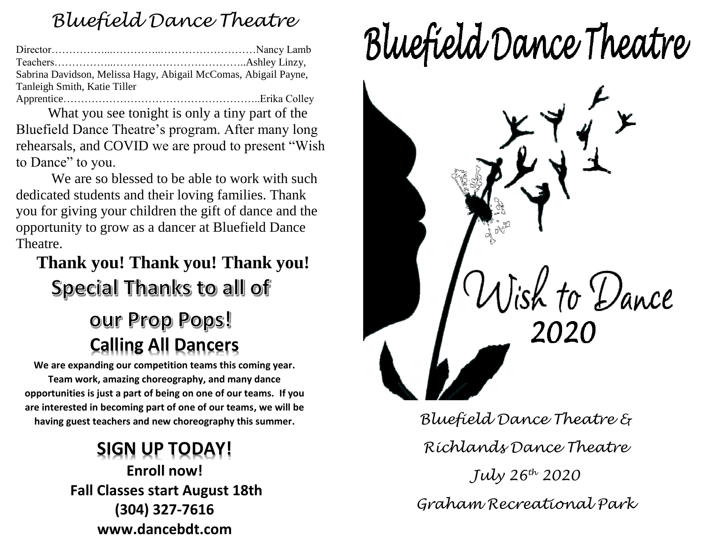## *Bluefield Dance Theatre*

| Sabrina Davidson, Melissa Hagy, Abigail McComas, Abigail Payne, |  |
|-----------------------------------------------------------------|--|
| Tanleigh Smith, Katie Tiller                                    |  |
|                                                                 |  |

What you see tonight is only a tiny part of the Bluefield Dance Theatre's program. After many long rehearsals, and COVID we are proud to present "Wish to Dance" to you.

We are so blessed to be able to work with such dedicated students and their loving families. Thank you for giving your children the gift of dance and the opportunity to grow as a dancer at Bluefield Dance Theatre.

## **Thank you! Thank you! Thank you!** Special Thanks to all of

# our Prop Pops! **Calling All Dancers**

**We are expanding our competition teams this coming year. Team work, amazing choreography, and many dance opportunities is just a part of being on one of our teams. If you are interested in becoming part of one of our teams, we will be having guest teachers and new choreography this summer.**

> **SIGN UP TODAY! Enroll now! Fall Classes start August 18th (304) 327-7616 www.dancebdt.com**

# Bluefield Dance Theatre



*Bluefield Dance Theatre & Richlands Dance Theatre July 26th 2020 Graham Recreational Park*